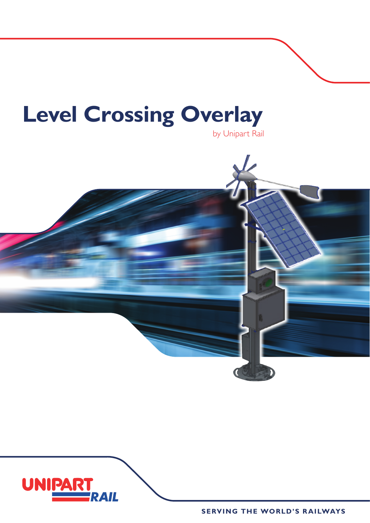## **Level Crossing Overlay**





**SERVING THE WORLD'S RAILWAYS**